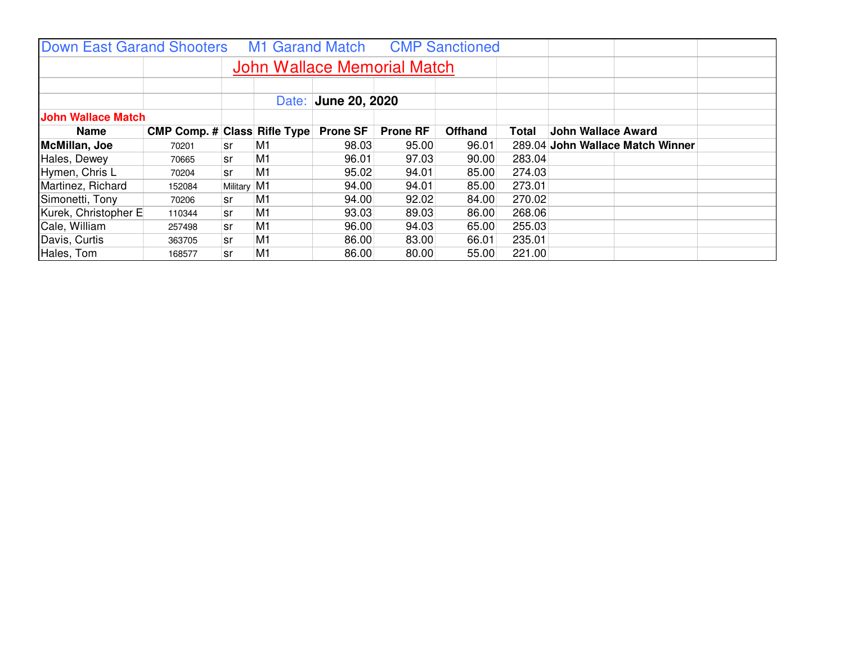| <b>Down East Garand Shooters</b> |                                     |             |    | M1 Garand Match     |                 | <b>CMP Sanctioned</b> |        |                                  |  |  |
|----------------------------------|-------------------------------------|-------------|----|---------------------|-----------------|-----------------------|--------|----------------------------------|--|--|
|                                  | <b>John Wallace Memorial Match</b>  |             |    |                     |                 |                       |        |                                  |  |  |
|                                  |                                     |             |    |                     |                 |                       |        |                                  |  |  |
|                                  |                                     |             |    | Date: June 20, 2020 |                 |                       |        |                                  |  |  |
| <b>John Wallace Match</b>        |                                     |             |    |                     |                 |                       |        |                                  |  |  |
| <b>Name</b>                      | <b>CMP Comp. # Class Rifle Type</b> |             |    | <b>Prone SF</b>     | <b>Prone RF</b> | <b>Offhand</b>        | Total  | <b>John Wallace Award</b>        |  |  |
| McMillan, Joe                    | 70201                               | sr          | M1 | 98.03               | 95.00           | 96.01                 |        | 289.04 John Wallace Match Winner |  |  |
| Hales, Dewey                     | 70665                               | sr          | M1 | 96.01               | 97.03           | 90.00                 | 283.04 |                                  |  |  |
| Hymen, Chris L                   | 70204                               | sr          | M1 | 95.02               | 94.01           | 85.00                 | 274.03 |                                  |  |  |
| Martinez, Richard                | 152084                              | Military M1 |    | 94.00               | 94.01           | 85.00                 | 273.01 |                                  |  |  |
| Simonetti, Tony                  | 70206                               | sr          | M1 | 94.00               | 92.02           | 84.00                 | 270.02 |                                  |  |  |
| Kurek, Christopher E             | 110344                              | sr          | M1 | 93.03               | 89.03           | 86.00                 | 268.06 |                                  |  |  |
| Cale, William                    | 257498                              | sr          | M1 | 96.00               | 94.03           | 65.00                 | 255.03 |                                  |  |  |
| Davis, Curtis                    | 363705                              | sr          | M1 | 86.00               | 83.00           | 66.01                 | 235.01 |                                  |  |  |
| Hales, Tom                       | 168577                              | sr          | M1 | 86.00               | 80.00           | 55.00                 | 221.00 |                                  |  |  |